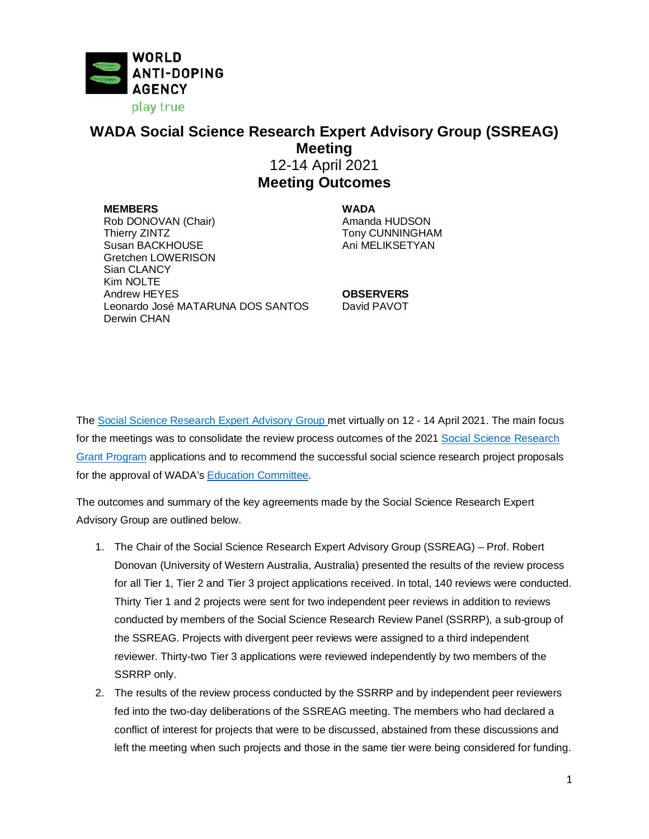

## **WADA Social Science Research Expert Advisory Group (SSREAG) Meeting** 12-14 April 2021 **Meeting Outcomes**

**MEMBERS WADA** Rob DONOVAN (Chair)<br>Thierry ZINTZ Susan BACKHOUSE Gretchen LOWERISON Sian CLANCY Kim NOLTE Andrew HEYES **OBSERVERS** Leonardo José MATARUNA DOS SANTOS Derwin CHAN

Tony CUNNINGHAM<br>Ani MELIKSETYAN

David PAVOT

The [Social Science Research Expert Advisory Group](https://www.wada-ama.org/en/who-we-are/governance/social-science-expert-advisory-group) met virtually on 12 - 14 April 2021. The main focus for the meetings was to consolidate the review process outcomes of the 2021 [Social Science Research](https://www.wada-ama.org/en/social-science-research)  [Grant Program](https://www.wada-ama.org/en/social-science-research) applications and to recommend the successful social science research project proposals for the approval of WADA's [Education Committee.](https://www.wada-ama.org/en/who-we-are/governance/education-committee)

The outcomes and summary of the key agreements made by the Social Science Research Expert Advisory Group are outlined below.

- 1. The Chair of the Social Science Research Expert Advisory Group (SSREAG) Prof. Robert Donovan (University of Western Australia, Australia) presented the results of the review process for all Tier 1, Tier 2 and Tier 3 project applications received. In total, 140 reviews were conducted. Thirty Tier 1 and 2 projects were sent for two independent peer reviews in addition to reviews conducted by members of the Social Science Research Review Panel (SSRRP), a sub-group of the SSREAG. Projects with divergent peer reviews were assigned to a third independent reviewer. Thirty-two Tier 3 applications were reviewed independently by two members of the SSRRP only.
- 2. The results of the review process conducted by the SSRRP and by independent peer reviewers fed into the two-day deliberations of the SSREAG meeting. The members who had declared a conflict of interest for projects that were to be discussed, abstained from these discussions and left the meeting when such projects and those in the same tier were being considered for funding.